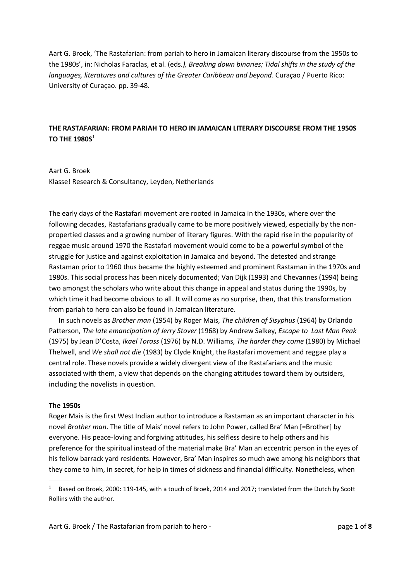Aart G. Broek, 'The Rastafarian: from pariah to hero in Jamaican literary discourse from the 1950s to the 1980s', in: Nicholas Faraclas, et al. (eds*.), Breaking down binaries; Tidal shifts in the study of the languages, literatures and cultures of the Greater Caribbean and beyond*. Curaçao / Puerto Rico: University of Curaçao. pp. 39-48.

# **THE RASTAFARIAN: FROM PARIAH TO HERO IN JAMAICAN LITERARY DISCOURSE FROM THE 1950S TO THE 1980S<sup>1</sup>**

Aart G. Broek Klasse! Research & Consultancy, Leyden, Netherlands

The early days of the Rastafari movement are rooted in Jamaica in the 1930s, where over the following decades, Rastafarians gradually came to be more positively viewed, especially by the nonpropertied classes and a growing number of literary figures. With the rapid rise in the popularity of reggae music around 1970 the Rastafari movement would come to be a powerful symbol of the struggle for justice and against exploitation in Jamaica and beyond. The detested and strange Rastaman prior to 1960 thus became the highly esteemed and prominent Rastaman in the 1970s and 1980s. This social process has been nicely documented; Van Dijk (1993) and Chevannes (1994) being two amongst the scholars who write about this change in appeal and status during the 1990s, by which time it had become obvious to all. It will come as no surprise, then, that this transformation from pariah to hero can also be found in Jamaican literature.

In such novels as *Brother man* (1954) by Roger Mais, *The children of Sisyphus* (1964) by Orlando Patterson, *The late emancipation of Jerry Stover* (1968) by Andrew Salkey, *Escape to Last Man Peak* (1975) by Jean D'Costa, *Ikael Torass* (1976) by N.D. Williams, *The harder they come* (1980) by Michael Thelwell, and *We shall not die* (1983) by Clyde Knight, the Rastafari movement and reggae play a central role. These novels provide a widely divergent view of the Rastafarians and the music associated with them, a view that depends on the changing attitudes toward them by outsiders, including the novelists in question.

## **The 1950s**

Roger Mais is the first West Indian author to introduce a Rastaman as an important character in his novel *Brother man*. The title of Mais' novel refers to John Power, called Bra' Man [=Brother] by everyone. His peace-loving and forgiving attitudes, his selfless desire to help others and his preference for the spiritual instead of the material make Bra' Man an eccentric person in the eyes of his fellow barrack yard residents. However, Bra' Man inspires so much awe among his neighbors that they come to him, in secret, for help in times of sickness and financial difficulty. Nonetheless, when

<sup>&</sup>lt;sup>1</sup> Based on Broek, 2000: 119-145, with a touch of Broek, 2014 and 2017; translated from the Dutch by Scott Rollins with the author.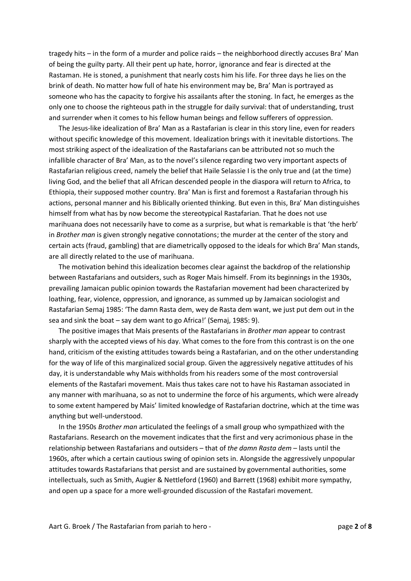tragedy hits – in the form of a murder and police raids – the neighborhood directly accuses Bra' Man of being the guilty party. All their pent up hate, horror, ignorance and fear is directed at the Rastaman. He is stoned, a punishment that nearly costs him his life. For three days he lies on the brink of death. No matter how full of hate his environment may be, Bra' Man is portrayed as someone who has the capacity to forgive his assailants after the stoning. In fact, he emerges as the only one to choose the righteous path in the struggle for daily survival: that of understanding, trust and surrender when it comes to his fellow human beings and fellow sufferers of oppression.

The Jesus-like idealization of Bra' Man as a Rastafarian is clear in this story line, even for readers without specific knowledge of this movement. Idealization brings with it inevitable distortions. The most striking aspect of the idealization of the Rastafarians can be attributed not so much the infallible character of Bra' Man, as to the novel's silence regarding two very important aspects of Rastafarian religious creed, namely the belief that Haile Selassie I is the only true and (at the time) living God, and the belief that all African descended people in the diaspora will return to Africa, to Ethiopia, their supposed mother country. Bra' Man is first and foremost a Rastafarian through his actions, personal manner and his Biblically oriented thinking. But even in this, Bra' Man distinguishes himself from what has by now become the stereotypical Rastafarian. That he does not use marihuana does not necessarily have to come as a surprise, but what is remarkable is that 'the herb' in *Brother man* is given strongly negative connotations; the murder at the center of the story and certain acts (fraud, gambling) that are diametrically opposed to the ideals for which Bra' Man stands, are all directly related to the use of marihuana.

The motivation behind this idealization becomes clear against the backdrop of the relationship between Rastafarians and outsiders, such as Roger Mais himself. From its beginnings in the 1930s, prevailing Jamaican public opinion towards the Rastafarian movement had been characterized by loathing, fear, violence, oppression, and ignorance, as summed up by Jamaican sociologist and Rastafarian Semaj 1985: 'The damn Rasta dem, wey de Rasta dem want, we just put dem out in the sea and sink the boat – say dem want to go Africa!' (Semaj, 1985: 9).

The positive images that Mais presents of the Rastafarians in *Brother man* appear to contrast sharply with the accepted views of his day. What comes to the fore from this contrast is on the one hand, criticism of the existing attitudes towards being a Rastafarian, and on the other understanding for the way of life of this marginalized social group. Given the aggressively negative attitudes of his day, it is understandable why Mais withholds from his readers some of the most controversial elements of the Rastafari movement. Mais thus takes care not to have his Rastaman associated in any manner with marihuana, so as not to undermine the force of his arguments, which were already to some extent hampered by Mais' limited knowledge of Rastafarian doctrine, which at the time was anything but well-understood.

In the 1950s *Brother man* articulated the feelings of a small group who sympathized with the Rastafarians. Research on the movement indicates that the first and very acrimonious phase in the relationship between Rastafarians and outsiders – that of *the damn Rasta dem* – lasts until the 1960s, after which a certain cautious swing of opinion sets in. Alongside the aggressively unpopular attitudes towards Rastafarians that persist and are sustained by governmental authorities, some intellectuals, such as Smith, Augier & Nettleford (1960) and Barrett (1968) exhibit more sympathy, and open up a space for a more well-grounded discussion of the Rastafari movement.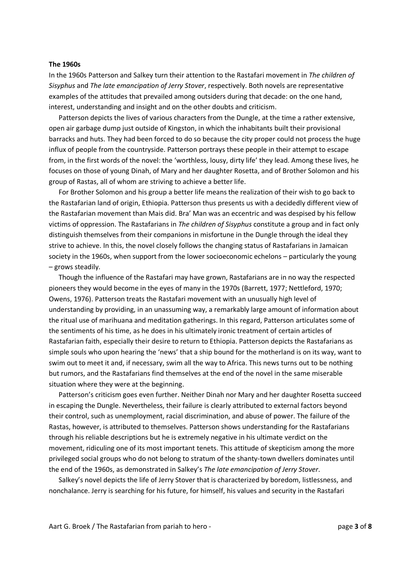#### **The 1960s**

In the 1960s Patterson and Salkey turn their attention to the Rastafari movement in *The children of Sisyphus* and *The late emancipation of Jerry Stover*, respectively. Both novels are representative examples of the attitudes that prevailed among outsiders during that decade: on the one hand, interest, understanding and insight and on the other doubts and criticism.

Patterson depicts the lives of various characters from the Dungle, at the time a rather extensive, open air garbage dump just outside of Kingston, in which the inhabitants built their provisional barracks and huts. They had been forced to do so because the city proper could not process the huge influx of people from the countryside. Patterson portrays these people in their attempt to escape from, in the first words of the novel: the 'worthless, lousy, dirty life' they lead. Among these lives, he focuses on those of young Dinah, of Mary and her daughter Rosetta, and of Brother Solomon and his group of Rastas, all of whom are striving to achieve a better life.

For Brother Solomon and his group a better life means the realization of their wish to go back to the Rastafarian land of origin, Ethiopia. Patterson thus presents us with a decidedly different view of the Rastafarian movement than Mais did. Bra' Man was an eccentric and was despised by his fellow victims of oppression. The Rastafarians in *The children of Sisyphus* constitute a group and in fact only distinguish themselves from their companions in misfortune in the Dungle through the ideal they strive to achieve. In this, the novel closely follows the changing status of Rastafarians in Jamaican society in the 1960s, when support from the lower socioeconomic echelons – particularly the young – grows steadily.

Though the influence of the Rastafari may have grown, Rastafarians are in no way the respected pioneers they would become in the eyes of many in the 1970s (Barrett, 1977; Nettleford, 1970; Owens, 1976). Patterson treats the Rastafari movement with an unusually high level of understanding by providing, in an unassuming way, a remarkably large amount of information about the ritual use of marihuana and meditation gatherings. In this regard, Patterson articulates some of the sentiments of his time, as he does in his ultimately ironic treatment of certain articles of Rastafarian faith, especially their desire to return to Ethiopia. Patterson depicts the Rastafarians as simple souls who upon hearing the 'news' that a ship bound for the motherland is on its way, want to swim out to meet it and, if necessary, swim all the way to Africa. This news turns out to be nothing but rumors, and the Rastafarians find themselves at the end of the novel in the same miserable situation where they were at the beginning.

Patterson's criticism goes even further. Neither Dinah nor Mary and her daughter Rosetta succeed in escaping the Dungle. Nevertheless, their failure is clearly attributed to external factors beyond their control, such as unemployment, racial discrimination, and abuse of power. The failure of the Rastas, however, is attributed to themselves. Patterson shows understanding for the Rastafarians through his reliable descriptions but he is extremely negative in his ultimate verdict on the movement, ridiculing one of its most important tenets. This attitude of skepticism among the more privileged social groups who do not belong to stratum of the shanty-town dwellers dominates until the end of the 1960s, as demonstrated in Salkey's *The late emancipation of Jerry Stover*.

Salkey's novel depicts the life of Jerry Stover that is characterized by boredom, listlessness, and nonchalance. Jerry is searching for his future, for himself, his values and security in the Rastafari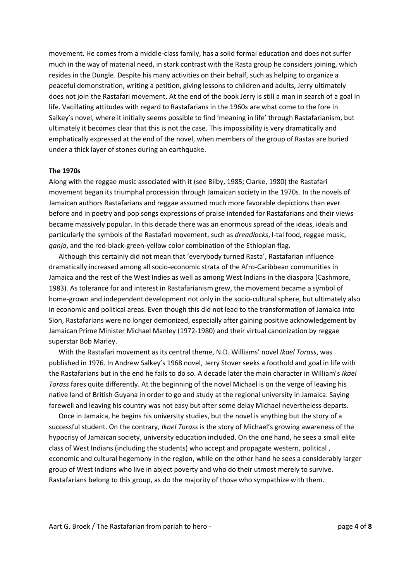movement. He comes from a middle-class family, has a solid formal education and does not suffer much in the way of material need, in stark contrast with the Rasta group he considers joining, which resides in the Dungle. Despite his many activities on their behalf, such as helping to organize a peaceful demonstration, writing a petition, giving lessons to children and adults, Jerry ultimately does not join the Rastafari movement. At the end of the book Jerry is still a man in search of a goal in life. Vacillating attitudes with regard to Rastafarians in the 1960s are what come to the fore in Salkey's novel, where it initially seems possible to find 'meaning in life' through Rastafarianism, but ultimately it becomes clear that this is not the case. This impossibility is very dramatically and emphatically expressed at the end of the novel, when members of the group of Rastas are buried under a thick layer of stones during an earthquake.

## **The 1970s**

Along with the reggae music associated with it (see Bilby, 1985; Clarke, 1980) the Rastafari movement began its triumphal procession through Jamaican society in the 1970s. In the novels of Jamaican authors Rastafarians and reggae assumed much more favorable depictions than ever before and in poetry and pop songs expressions of praise intended for Rastafarians and their views became massively popular. In this decade there was an enormous spread of the ideas, ideals and particularly the symbols of the Rastafari movement, such as *dreadlocks*, I-tal food, reggae music, *ganja*, and the red-black-green-yellow color combination of the Ethiopian flag.

Although this certainly did not mean that 'everybody turned Rasta', Rastafarian influence dramatically increased among all socio-economic strata of the Afro-Caribbean communities in Jamaica and the rest of the West Indies as well as among West Indians in the diaspora (Cashmore, 1983). As tolerance for and interest in Rastafarianism grew, the movement became a symbol of home-grown and independent development not only in the socio-cultural sphere, but ultimately also in economic and political areas. Even though this did not lead to the transformation of Jamaica into Sion, Rastafarians were no longer demonized, especially after gaining positive acknowledgement by Jamaican Prime Minister Michael Manley (1972-1980) and their virtual canonization by reggae superstar Bob Marley.

With the Rastafari movement as its central theme, N.D. Williams' novel *Ikael Torass*, was published in 1976. In Andrew Salkey's 1968 novel, Jerry Stover seeks a foothold and goal in life with the Rastafarians but in the end he fails to do so. A decade later the main character in William's *Ikael Torass* fares quite differently. At the beginning of the novel Michael is on the verge of leaving his native land of British Guyana in order to go and study at the regional university in Jamaica. Saying farewell and leaving his country was not easy but after some delay Michael nevertheless departs.

Once in Jamaica, he begins his university studies, but the novel is anything but the story of a successful student. On the contrary, *Ikael Torass* is the story of Michael's growing awareness of the hypocrisy of Jamaican society, university education included. On the one hand, he sees a small elite class of West Indians (including the students) who accept and propagate western, political , economic and cultural hegemony in the region, while on the other hand he sees a considerably larger group of West Indians who live in abject poverty and who do their utmost merely to survive. Rastafarians belong to this group, as do the majority of those who sympathize with them.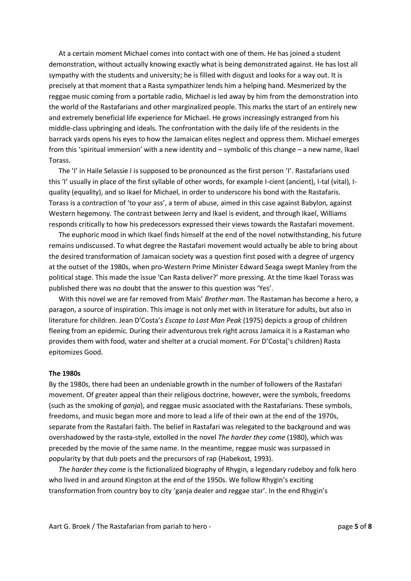At a certain moment Michael comes into contact with one of them. He has joined a student demonstration, without actually knowing exactly what is being demonstrated against. He has lost all sympathy with the students and university; he is filled with disgust and looks for a way out. It is precisely at that moment that a Rasta sympathizer lends him a helping hand. Mesmerized by the reggae music coming from a portable radio, Michael is led away by him from the demonstration into the world of the Rastafarians and other marginalized people. This marks the start of an entirely new and extremely beneficial life experience for Michael. He grows increasingly estranged from his middle-class upbringing and ideals. The confrontation with the daily life of the residents in the barrack yards opens his eyes to how the Jamaican elites neglect and oppress them. Michael emerges from this 'spiritual immersion' with a new identity and – symbolic of this change – a new name, Ikael Torass.

The 'I' in Haile Selassie I is supposed to be pronounced as the first person 'I'. Rastafarians used this 'I' usually in place of the first syllable of other words, for example I-cient (ancient), I-tal (vital), Iquality (equality), and so Ikael for Michael, in order to underscore his bond with the Rastafaris. Torass is a contraction of 'to your ass', a term of abuse, aimed in this case against Babylon, against Western hegemony. The contrast between Jerry and Ikael is evident, and through Ikael, Williams responds critically to how his predecessors expressed their views towards the Rastafari movement.

The euphoric mood in which Ikael finds himself at the end of the novel notwithstanding, his future remains undiscussed. To what degree the Rastafari movement would actually be able to bring about the desired transformation of Jamaican society was a question first posed with a degree of urgency at the outset of the 1980s, when pro-Western Prime Minister Edward Seaga swept Manley from the political stage. This made the issue 'Can Rasta deliver?' more pressing. At the time Ikael Torass was published there was no doubt that the answer to this question was 'Yes'.

With this novel we are far removed from Mais' *Brother man*. The Rastaman has become a hero, a paragon, a source of inspiration. This image is not only met with in literature for adults, but also in literature for children. Jean D'Costa's *Escape to Last Man Peak* (1975) depicts a group of children fleeing from an epidemic. During their adventurous trek right across Jamaica it is a Rastaman who provides them with food, water and shelter at a crucial moment. For D'Costa('s children) Rasta epitomizes Good.

#### **The 1980s**

By the 1980s, there had been an undeniable growth in the number of followers of the Rastafari movement. Of greater appeal than their religious doctrine, however, were the symbols, freedoms (such as the smoking of *ganja*), and reggae music associated with the Rastafarians. These symbols, freedoms, and music began more and more to lead a life of their own at the end of the 1970s, separate from the Rastafari faith. The belief in Rastafari was relegated to the background and was overshadowed by the rasta-style, extolled in the novel *The harder they come* (1980), which was preceded by the movie of the same name. In the meantime, reggae music was surpassed in popularity by that dub poets and the precursors of rap (Habekost, 1993).

*The harder they come* is the fictionalized biography of Rhygin, a legendary rudeboy and folk hero who lived in and around Kingston at the end of the 1950s. We follow Rhygin's exciting transformation from country boy to city 'ganja dealer and reggae star'. In the end Rhygin's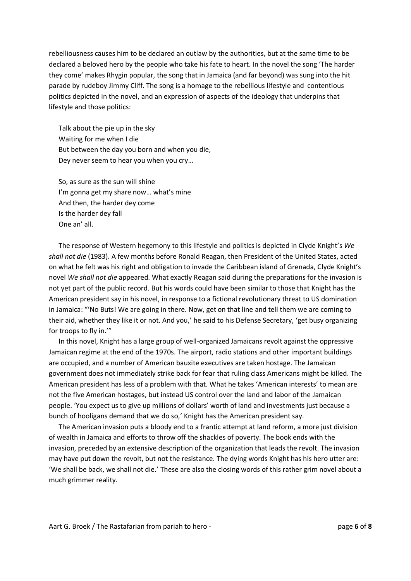rebelliousness causes him to be declared an outlaw by the authorities, but at the same time to be declared a beloved hero by the people who take his fate to heart. In the novel the song 'The harder they come' makes Rhygin popular, the song that in Jamaica (and far beyond) was sung into the hit parade by rudeboy Jimmy Cliff. The song is a homage to the rebellious lifestyle and contentious politics depicted in the novel, and an expression of aspects of the ideology that underpins that lifestyle and those politics:

Talk about the pie up in the sky Waiting for me when I die But between the day you born and when you die, Dey never seem to hear you when you cry…

So, as sure as the sun will shine I'm gonna get my share now… what's mine And then, the harder dey come Is the harder dey fall One an' all.

The response of Western hegemony to this lifestyle and politics is depicted in Clyde Knight's *We shall not die* (1983). A few months before Ronald Reagan, then President of the United States, acted on what he felt was his right and obligation to invade the Caribbean island of Grenada, Clyde Knight's novel *We shall not die* appeared. What exactly Reagan said during the preparations for the invasion is not yet part of the public record. But his words could have been similar to those that Knight has the American president say in his novel, in response to a fictional revolutionary threat to US domination in Jamaica: "'No Buts! We are going in there. Now, get on that line and tell them we are coming to their aid, whether they like it or not. And you,' he said to his Defense Secretary, 'get busy organizing for troops to fly in.'"

In this novel, Knight has a large group of well-organized Jamaicans revolt against the oppressive Jamaican regime at the end of the 1970s. The airport, radio stations and other important buildings are occupied, and a number of American bauxite executives are taken hostage. The Jamaican government does not immediately strike back for fear that ruling class Americans might be killed. The American president has less of a problem with that. What he takes 'American interests' to mean are not the five American hostages, but instead US control over the land and labor of the Jamaican people. 'You expect us to give up millions of dollars' worth of land and investments just because a bunch of hooligans demand that we do so,' Knight has the American president say.

The American invasion puts a bloody end to a frantic attempt at land reform, a more just division of wealth in Jamaica and efforts to throw off the shackles of poverty. The book ends with the invasion, preceded by an extensive description of the organization that leads the revolt. The invasion may have put down the revolt, but not the resistance. The dying words Knight has his hero utter are: 'We shall be back, we shall not die.' These are also the closing words of this rather grim novel about a much grimmer reality.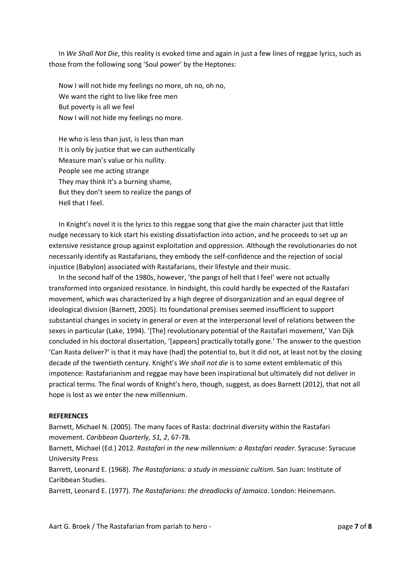In *We Shall Not Die*, this reality is evoked time and again in just a few lines of reggae lyrics, such as those from the following song 'Soul power' by the Heptones:

Now I will not hide my feelings no more, oh no, oh no, We want the right to live like free men But poverty is all we feel Now I will not hide my feelings no more.

He who is less than just, is less than man It is only by justice that we can authentically Measure man's value or his nullity. People see me acting strange They may think it's a burning shame, But they don't seem to realize the pangs of Hell that I feel.

In Knight's novel it is the lyrics to this reggae song that give the main character just that little nudge necessary to kick start his existing dissatisfaction into action, and he proceeds to set up an extensive resistance group against exploitation and oppression. Although the revolutionaries do not necessarily identify as Rastafarians, they embody the self-confidence and the rejection of social injustice (Babylon) associated with Rastafarians, their lifestyle and their music.

In the second half of the 1980s, however, 'the pangs of hell that I feel' were not actually transformed into organized resistance. In hindsight, this could hardly be expected of the Rastafari movement, which was characterized by a high degree of disorganization and an equal degree of ideological division (Barnett, 2005). Its foundational premises seemed insufficient to support substantial changes in society in general or even at the interpersonal level of relations between the sexes in particular (Lake, 1994). '[The] revolutionary potential of the Rastafari movement,' Van Dijk concluded in his doctoral dissertation, '[appears] practically totally gone.' The answer to the question 'Can Rasta deliver?' is that it may have (had) the potential to, but it did not, at least not by the closing decade of the twentieth century. Knight's *We shall not die* is to some extent emblematic of this impotence: Rastafarianism and reggae may have been inspirational but ultimately did not deliver in practical terms. The final words of Knight's hero, though, suggest, as does Barnett (2012), that not all hope is lost as we enter the new millennium.

## **REFERENCES**

Barnett, Michael N. (2005). The many faces of Rasta: doctrinal diversity within the Rastafari movement. *Caribbean Quarterly, 51, 2*, 67-78.

Barnett, Michael (Ed.) 2012. *Rastafari in the new millennium: a Rastafari reader*. Syracuse: Syracuse University Press

Barrett, Leonard E. (1968). *The Rastafarians: a study in messianic cultism*. San Juan: Institute of Caribbean Studies.

Barrett, Leonard E. (1977). *The Rastafarians: the dreadlocks of Jamaica*. London: Heinemann.

Aart G. Broek / The Rastafarian from pariah to hero - page **7** of **8**